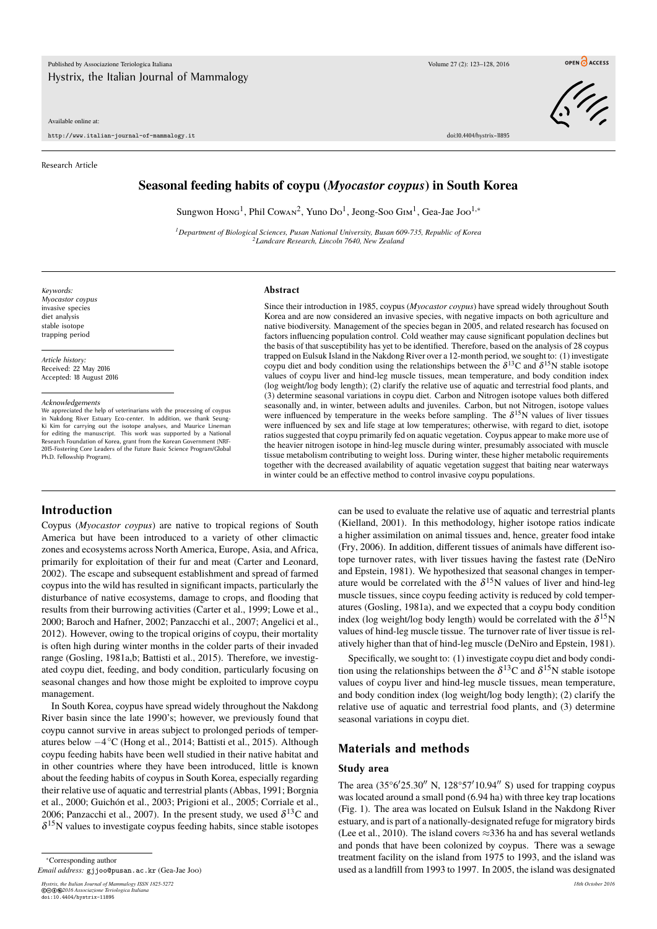#### Available online at:

http://www.italian-journal-of-mammalogy.it doi:10.4404/hystrix–11895

#### Research Article

 $\sqrt{\frac{1}{2}}$ 

### **Seasonal feeding habits of coypu (***Myocastor coypus***) in South Korea**

Sungwon Hong<sup>1</sup>, Phil Cowan<sup>2</sup>, Yuno Do<sup>1</sup>, Jeong-Soo G1M<sup>1</sup>, Gea-Jae Joo<sup>1,\*</sup>

*<sup>1</sup>Department of Biological Sciences, Pusan National University, Busan 609-735, Republic of Korea <sup>2</sup>Landcare Research, Lincoln 7640, New Zealand*

*Keywords: Myocastor coypus* invasive species diet analysis stable isotope trapping period

*Article history:* Received: 22 May 2016 Accepted: 18 August 2016

*Acknowledgements*

We appreciated the help of veterinarians with the processing of coypus in Nakdong River Estuary Eco-center. In addition, we thank Seung-Ki Kim for carrying out the isotope analyses, and Maurice Lineman for editing the manuscript. This work was supported by a National Research Foundation of Korea, grant from the Korean Government (NRF-2015-Fostering Core Leaders of the Future Basic Science Program/Global Ph.D. Fellowship Program).

#### **Abstract**

Since their introduction in 1985, coypus (*Myocastor coypus*) have spread widely throughout South Korea and are now considered an invasive species, with negative impacts on both agriculture and native biodiversity. Management of the species began in 2005, and related research has focused on factors influencing population control. Cold weather may cause significant population declines but the basis of that susceptibility has yet to be identified. Therefore, based on the analysis of 28 coypus trapped on Eulsuk Island in the Nakdong River over a 12-month period, we sought to: (1) investigate coypu diet and body condition using the relationships between the  $\delta^{13}$ C and  $\delta^{15}$ N stable isotope values of coypu liver and hind-leg muscle tissues, mean temperature, and body condition index (log weight/log body length); (2) clarify the relative use of aquatic and terrestrial food plants, and (3) determine seasonal variations in coypu diet. Carbon and Nitrogen isotope values both differed seasonally and, in winter, between adults and juveniles. Carbon, but not Nitrogen, isotope values were influenced by temperature in the weeks before sampling. The  $\delta^{15}N$  values of liver tissues were influenced by sex and life stage at low temperatures; otherwise, with regard to diet, isotope ratios suggested that coypu primarily fed on aquatic vegetation. Coypus appear to make more use of the heavier nitrogen isotope in hind-leg muscle during winter, presumably associated with muscle tissue metabolism contributing to weight loss. During winter, these higher metabolic requirements together with the decreased availability of aquatic vegetation suggest that baiting near waterways in winter could be an effective method to control invasive coypu populations.

## **Introduction**

Coypus (*Myocastor coypus*) are native to tropical regions of South America but have been introduced to a variety of other climactic zones and ecosystems across North America, Europe, Asia, and Africa, primarily for exploitation of their fur and meat (Carter and Leonard, 2002). The escape and subsequent establishment and spread of farmed coypus into the wild has resulted in significant impacts, particularly the disturbance of native ecosystems, damage to crops, and flooding that results from their burrowing activities (Carter et al., 1999; Lowe et al., 2000; Baroch and Hafner, 2002; Panzacchi et al., 2007; Angelici et al., 2012). However, owing to the tropical origins of coypu, their mortality is often high during winter months in the colder parts of their invaded range (Gosling, 1981a,b; Battisti et al., 2015). Therefore, we investigated coypu diet, feeding, and body condition, particularly focusing on seasonal changes and how those might be exploited to improve coypu management.

In South Korea, coypus have spread widely throughout the Nakdong River basin since the late 1990's; however, we previously found that coypu cannot survive in areas subject to prolonged periods of temperatures below −4 ◦C (Hong et al., 2014; Battisti et al., 2015). Although coypu feeding habits have been well studied in their native habitat and in other countries where they have been introduced, little is known about the feeding habits of coypus in South Korea, especially regarding their relative use of aquatic and terrestrial plants (Abbas, 1991; Borgnia et al., 2000; Guichón et al., 2003; Prigioni et al., 2005; Corriale et al., 2006; Panzacchi et al., 2007). In the present study, we used  $\delta^{13}C$  and  $\delta^{15}$ N values to investigate coypus feeding habits, since stable isotopes

<sup>∗</sup>Corresponding author

*Email address:* gjjoo@pusan.ac.kr (Gea-Jae Joo)

can be used to evaluate the relative use of aquatic and terrestrial plants (Kielland, 2001). In this methodology, higher isotope ratios indicate a higher assimilation on animal tissues and, hence, greater food intake (Fry, 2006). In addition, different tissues of animals have different isotope turnover rates, with liver tissues having the fastest rate (DeNiro and Epstein, 1981). We hypothesized that seasonal changes in temperature would be correlated with the  $\delta^{15}N$  values of liver and hind-leg muscle tissues, since coypu feeding activity is reduced by cold temperatures (Gosling, 1981a), and we expected that a coypu body condition index (log weight/log body length) would be correlated with the  $\delta^{15}N$ values of hind-leg muscle tissue. The turnover rate of liver tissue is relatively higher than that of hind-leg muscle (DeNiro and Epstein, 1981).

Specifically, we sought to: (1) investigate coypu diet and body condition using the relationships between the  $\delta^{13}$ C and  $\delta^{15}$ N stable isotope values of coypu liver and hind-leg muscle tissues, mean temperature, and body condition index (log weight/log body length); (2) clarify the relative use of aquatic and terrestrial food plants, and (3) determine seasonal variations in coypu diet.

## **Materials and methods**

### **Study area**

The area  $(35^{\circ}6'25.30''$  N,  $128^{\circ}57'10.94''$  S) used for trapping coypus was located around a small pond (6.94 ha) with three key trap locations (Fig. 1). The area was located on Eulsuk Island in the Nakdong River estuary, and is part of a nationally-designated refuge for migratory birds (Lee et al., 2010). The island covers  $\approx$ 336 ha and has several wetlands and ponds that have been colonized by coypus. There was a sewage treatment facility on the island from 1975 to 1993, and the island was used as a landfill from 1993 to 1997. In 2005, the island was designated

*Hystrix, the Italian Journal of Mammalogy ISSN 1825-5272 18th October 2016* ©©⊕**©**2016 Associazione Teriologica Italiana<br>doi:10.4404/hystrix-11895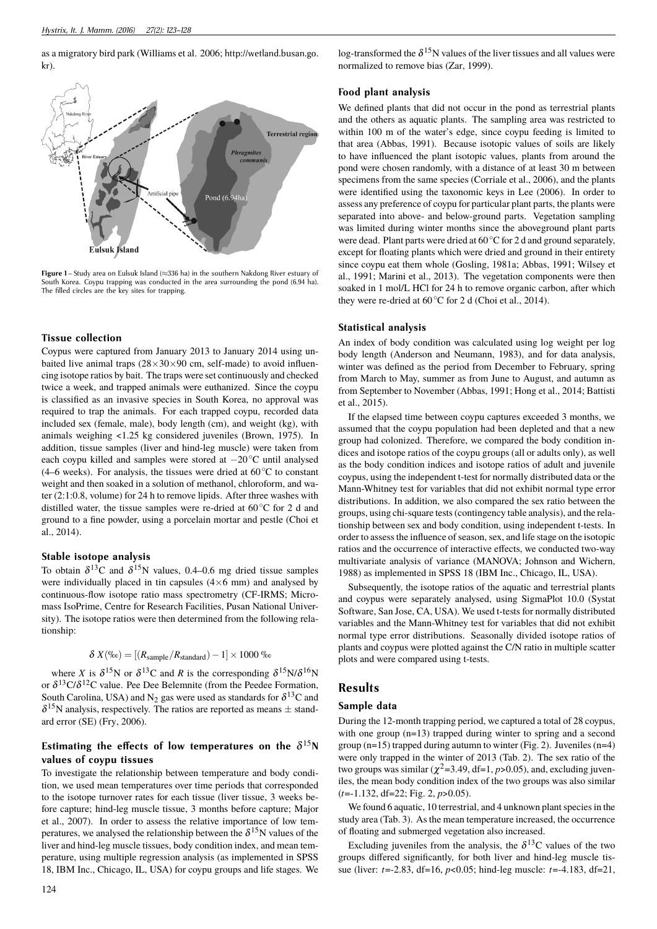as a migratory bird park (Williams et al. 2006; http://wetland.busan.go. kr).



**Figure 1** – Study area on Eulsuk Island (≈336 ha) in the southern Nakdong River estuary of South Korea. Coypu trapping was conducted in the area surrounding the pond (6.94 ha). The filled circles are the key sites for trapping.

### **Tissue collection**

Coypus were captured from January 2013 to January 2014 using unbaited live animal traps  $(28\times30\times90$  cm, self-made) to avoid influencing isotope ratios by bait. The traps were set continuously and checked twice a week, and trapped animals were euthanized. Since the coypu is classified as an invasive species in South Korea, no approval was required to trap the animals. For each trapped coypu, recorded data included sex (female, male), body length (cm), and weight (kg), with animals weighing <1.25 kg considered juveniles (Brown, 1975). In addition, tissue samples (liver and hind-leg muscle) were taken from each coypu killed and samples were stored at −20◦C until analysed (4–6 weeks). For analysis, the tissues were dried at  $60 °C$  to constant weight and then soaked in a solution of methanol, chloroform, and water (2:1:0.8, volume) for 24 h to remove lipids. After three washes with distilled water, the tissue samples were re-dried at 60◦C for 2 d and ground to a fine powder, using a porcelain mortar and pestle (Choi et al., 2014).

### **Stable isotope analysis**

To obtain  $\delta^{13}C$  and  $\delta^{15}N$  values, 0.4–0.6 mg dried tissue samples were individually placed in tin capsules  $(4\times6$  mm) and analysed by continuous-flow isotope ratio mass spectrometry (CF-IRMS; Micromass IsoPrime, Centre for Research Facilities, Pusan National University). The isotope ratios were then determined from the following relationship:

$$
\delta X(\% \text{e}) = [(R_{\text{sample}}/R_{\text{standard}}) - 1] \times 1000 \text{ %}
$$

where *X* is  $\delta^{15}N$  or  $\delta^{13}C$  and *R* is the corresponding  $\delta^{15}N/\delta^{16}N$ or  $\delta^{13}C/\delta^{12}C$  value. Pee Dee Belemnite (from the Peedee Formation, South Carolina, USA) and N<sub>2</sub> gas were used as standards for  $\delta^{13}$ C and  $\delta^{15}$ N analysis, respectively. The ratios are reported as means  $\pm$  standard error (SE) (Fry, 2006).

## Estimating the effects of low temperatures on the  $\delta^{15}$ N **values of coypu tissues**

To investigate the relationship between temperature and body condition, we used mean temperatures over time periods that corresponded to the isotope turnover rates for each tissue (liver tissue, 3 weeks before capture; hind-leg muscle tissue, 3 months before capture; Major et al., 2007). In order to assess the relative importance of low temperatures, we analysed the relationship between the  $\delta^{15}N$  values of the liver and hind-leg muscle tissues, body condition index, and mean temperature, using multiple regression analysis (as implemented in SPSS 18, IBM Inc., Chicago, IL, USA) for coypu groups and life stages. We

log-transformed the  $\delta^{15}N$  values of the liver tissues and all values were normalized to remove bias (Zar, 1999).

### **Food plant analysis**

We defined plants that did not occur in the pond as terrestrial plants and the others as aquatic plants. The sampling area was restricted to within 100 m of the water's edge, since coypu feeding is limited to that area (Abbas, 1991). Because isotopic values of soils are likely to have influenced the plant isotopic values, plants from around the pond were chosen randomly, with a distance of at least 30 m between specimens from the same species (Corriale et al., 2006), and the plants were identified using the taxonomic keys in Lee (2006). In order to assess any preference of coypu for particular plant parts, the plants were separated into above- and below-ground parts. Vegetation sampling was limited during winter months since the aboveground plant parts were dead. Plant parts were dried at 60◦C for 2 d and ground separately, except for floating plants which were dried and ground in their entirety since coypu eat them whole (Gosling, 1981a; Abbas, 1991; Wilsey et al., 1991; Marini et al., 2013). The vegetation components were then soaked in 1 mol/L HCl for 24 h to remove organic carbon, after which they were re-dried at 60◦C for 2 d (Choi et al., 2014).

#### **Statistical analysis**

An index of body condition was calculated using log weight per log body length (Anderson and Neumann, 1983), and for data analysis, winter was defined as the period from December to February, spring from March to May, summer as from June to August, and autumn as from September to November (Abbas, 1991; Hong et al., 2014; Battisti et al., 2015).

If the elapsed time between coypu captures exceeded 3 months, we assumed that the coypu population had been depleted and that a new group had colonized. Therefore, we compared the body condition indices and isotope ratios of the coypu groups (all or adults only), as well as the body condition indices and isotope ratios of adult and juvenile coypus, using the independent t-test for normally distributed data or the Mann-Whitney test for variables that did not exhibit normal type error distributions. In addition, we also compared the sex ratio between the groups, using chi-square tests (contingency table analysis), and the relationship between sex and body condition, using independent t-tests. In order to assess the influence of season, sex, and life stage on the isotopic ratios and the occurrence of interactive effects, we conducted two-way multivariate analysis of variance (MANOVA; Johnson and Wichern, 1988) as implemented in SPSS 18 (IBM Inc., Chicago, IL, USA).

Subsequently, the isotope ratios of the aquatic and terrestrial plants and coypus were separately analysed, using SigmaPlot 10.0 (Systat Software, San Jose, CA, USA). We used t-tests for normally distributed variables and the Mann-Whitney test for variables that did not exhibit normal type error distributions. Seasonally divided isotope ratios of plants and coypus were plotted against the C/N ratio in multiple scatter plots and were compared using t-tests.

### **Results**

### **Sample data**

During the 12-month trapping period, we captured a total of 28 coypus, with one group (n=13) trapped during winter to spring and a second group ( $n=15$ ) trapped during autumn to winter (Fig. 2). Juveniles ( $n=4$ ) were only trapped in the winter of 2013 (Tab. 2). The sex ratio of the two groups was similar ( $\chi^2$ =3.49, df=1, *p*>0.05), and, excluding juveniles, the mean body condition index of the two groups was also similar (*t*=-1.132, df=22; Fig. 2, *p*>0.05).

We found 6 aquatic, 10 terrestrial, and 4 unknown plant species in the study area (Tab. 3). As the mean temperature increased, the occurrence of floating and submerged vegetation also increased.

Excluding juveniles from the analysis, the  $\delta^{13}$ C values of the two groups differed significantly, for both liver and hind-leg muscle tissue (liver: *t*=-2.83, df=16, *p*<0.05; hind-leg muscle: *t*=-4.183, df=21,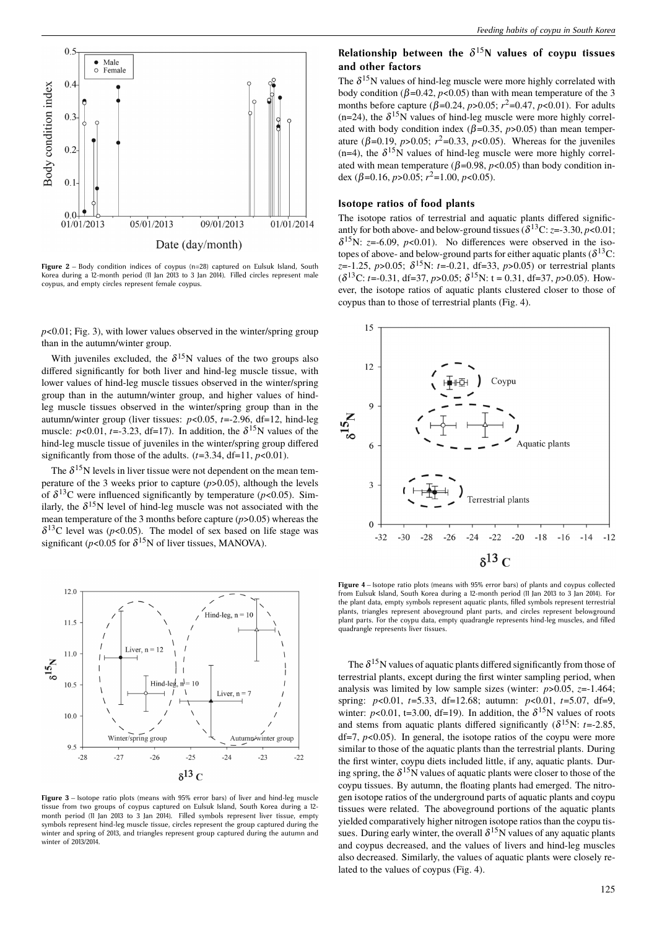

**Figure 2** – Body condition indices of coypus (n=28) captured on Eulsuk Island, South Korea during a 12-month period (11 Jan 2013 to 3 Jan 2014). Filled circles represent male coypus, and empty circles represent female coypus.

 $p$ <0.01; Fig. 3), with lower values observed in the winter/spring group than in the autumn/winter group.

With juveniles excluded, the  $\delta^{15}N$  values of the two groups also differed significantly for both liver and hind-leg muscle tissue, with lower values of hind-leg muscle tissues observed in the winter/spring group than in the autumn/winter group, and higher values of hindleg muscle tissues observed in the winter/spring group than in the autumn/winter group (liver tissues: *p*<0.05, *t*=-2.96, df=12, hind-leg muscle:  $p<0.01$ ,  $t=-3.23$ , df=17). In addition, the  $\delta^{15}$ N values of the hind-leg muscle tissue of juveniles in the winter/spring group differed significantly from those of the adults.  $(t=3.34, df=11, p<0.01)$ .

The  $\delta^{15}$ N levels in liver tissue were not dependent on the mean temperature of the 3 weeks prior to capture (*p*>0.05), although the levels of  $\delta^{13}$ C were influenced significantly by temperature ( $p$ <0.05). Similarly, the  $\delta^{15}$ N level of hind-leg muscle was not associated with the mean temperature of the 3 months before capture (*p*>0.05) whereas the  $\delta^{13}$ C level was (*p*<0.05). The model of sex based on life stage was significant ( $p$ <0.05 for  $\delta^{15}$ N of liver tissues, MANOVA).



**Figure 3** – Isotope ratio plots (means with 95% error bars) of liver and hind-leg muscle tissue from two groups of coypus captured on Eulsuk Island, South Korea during a 12 month period (11 Jan 2013 to 3 Jan 2014). Filled symbols represent liver tissue, empty symbols represent hind-leg muscle tissue, circles represent the group captured during the winter and spring of 2013, and triangles represent group captured during the autumn and winter of 2013/2014

# **Relationship between the** δ <sup>15</sup>**N values of coypu tissues and other factors**

The  $\delta^{15}$ N values of hind-leg muscle were more highly correlated with body condition ( $\beta$ =0.42, *p*<0.05) than with mean temperature of the 3 months before capture ( $\beta$ =0.24, *p*>0.05;  $r^2$ =0.47, *p*<0.01). For adults  $(n=24)$ , the  $\delta^{15}N$  values of hind-leg muscle were more highly correlated with body condition index ( $\beta$ =0.35,  $p$ >0.05) than mean temperature ( $β=0.19$ ,  $p>0.05$ ;  $r^2=0.33$ ,  $p<0.05$ ). Whereas for the juveniles (n=4), the  $\delta^{15}N$  values of hind-leg muscle were more highly correlated with mean temperature ( $\beta$ =0.98, *p*<0.05) than body condition index (β=0.16, *p*>0.05; *r* <sup>2</sup>=1.00, *p*<0.05).

### **Isotope ratios of food plants**

The isotope ratios of terrestrial and aquatic plants differed significantly for both above- and below-ground tissues ( $\delta^{13}$ C: *z*=-3.30, *p*<0.01;  $\delta^{15}$ N: *z*=-6.09, *p*<0.01). No differences were observed in the isotopes of above- and below-ground parts for either aquatic plants ( $\delta^{13}$ C: *z*=-1.25, *p*>0.05; δ <sup>15</sup>N: *t*=-0.21, df=33, *p*>0.05) or terrestrial plants  $(\delta^{13}C: t = -0.31, df = 37, p > 0.05; \delta^{15}N: t = 0.31, df = 37, p > 0.05)$ . However, the isotope ratios of aquatic plants clustered closer to those of coypus than to those of terrestrial plants (Fig. 4).



**Figure 4** – Isotope ratio plots (means with 95% error bars) of plants and coypus collected from Eulsuk Island, South Korea during a 12-month period (11 Jan 2013 to 3 Jan 2014). For the plant data, empty symbols represent aquatic plants, filled symbols represent terrestrial plants, triangles represent aboveground plant parts, and circles represent belowground plant parts. For the coypu data, empty quadrangle represents hind-leg muscles, and filled quadrangle represents liver tissues.

The  $\delta^{15}$ N values of aquatic plants differed significantly from those of terrestrial plants, except during the first winter sampling period, when analysis was limited by low sample sizes (winter:  $p > 0.05$ ,  $z = -1.464$ ; spring: *p*<0.01, *t*=5.33, df=12.68; autumn: *p*<0.01, *t*=5.07, df=9, winter:  $p<0.01$ , t=3.00, df=19). In addition, the  $\delta^{15}N$  values of roots and stems from aquatic plants differed significantly ( $\delta^{15}$ N: *t*=-2.85,  $df=7$ ,  $p<0.05$ ). In general, the isotope ratios of the coypu were more similar to those of the aquatic plants than the terrestrial plants. During the first winter, coypu diets included little, if any, aquatic plants. During spring, the  $\delta^{15}N$  values of aquatic plants were closer to those of the coypu tissues. By autumn, the floating plants had emerged. The nitrogen isotope ratios of the underground parts of aquatic plants and coypu tissues were related. The aboveground portions of the aquatic plants yielded comparatively higher nitrogen isotope ratios than the coypu tissues. During early winter, the overall  $\delta^{15}$ N values of any aquatic plants and coypus decreased, and the values of livers and hind-leg muscles also decreased. Similarly, the values of aquatic plants were closely related to the values of coypus (Fig. 4).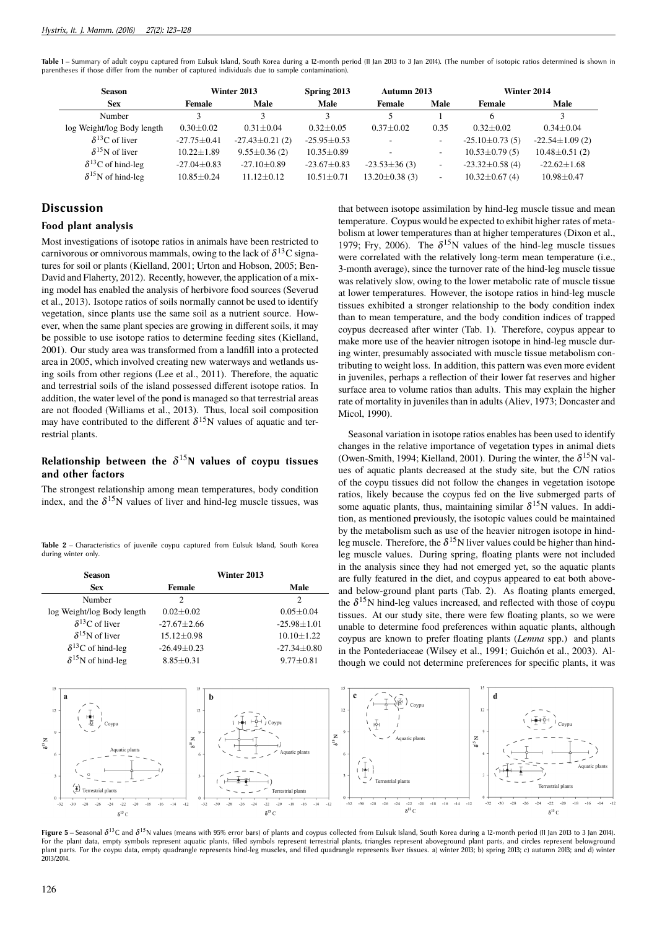Table I – Summary of adult coypu captured from Eulsuk Island, South Korea during a 12-month period (II Jan 2013 to 3 Jan 2014). (The number of isotopic ratios determined is shown in parentheses if those differ from the number of captured individuals due to sample contamination).

| <b>Season</b>               |                 | Winter 2013          | Spring 2013      | Autumn 2013              |                          |                       | Winter 2014          |
|-----------------------------|-----------------|----------------------|------------------|--------------------------|--------------------------|-----------------------|----------------------|
| <b>Sex</b>                  | Female          | Male                 | Male             | Female                   | Male                     | Female                | Male                 |
| Number                      |                 |                      |                  |                          |                          | 6                     |                      |
| log Weight/log Body length  | $0.30 + 0.02$   | $0.31 + 0.04$        | $0.32 + 0.05$    | $0.37 + 0.02$            | 0.35                     | $0.32 + 0.02$         | $0.34 + 0.04$        |
| $\delta^{13}$ C of liver    | $-27.75 + 0.41$ | $-27.43 \pm 0.21(2)$ | $-25.95+0.53$    | $\overline{\phantom{a}}$ | ٠                        | $-25.10 \pm 0.73(5)$  | $-22.54 \pm 1.09(2)$ |
| $\delta^{15}$ N of liver    | $10.22 + 1.89$  | $9.55 \pm 0.36$ (2)  | $10.35 \pm 0.89$ |                          |                          | $10.53 \pm 0.79(5)$   | $10.48 \pm 0.51(2)$  |
| $\delta^{13}$ C of hind-leg | $-27.04 + 0.83$ | $-27.10+0.89$        | $-23.67 + 0.83$  | $-23.53\pm36(3)$         | ٠                        | $-23.32 \pm 0.58$ (4) | $-22.62+1.68$        |
| $\delta^{15}$ N of hind-leg | $10.85 + 0.24$  | $11.12 + 0.12$       | $10.51 + 0.71$   | $13.20 \pm 0.38(3)$      | $\overline{\phantom{a}}$ | $10.32 \pm 0.67(4)$   | $10.98 \pm 0.47$     |

### **Discussion**

### **Food plant analysis**

Most investigations of isotope ratios in animals have been restricted to carnivorous or omnivorous mammals, owing to the lack of  $\delta^{13}C$  signatures for soil or plants (Kielland, 2001; Urton and Hobson, 2005; Ben-David and Flaherty, 2012). Recently, however, the application of a mixing model has enabled the analysis of herbivore food sources (Severud et al., 2013). Isotope ratios of soils normally cannot be used to identify vegetation, since plants use the same soil as a nutrient source. However, when the same plant species are growing in different soils, it may be possible to use isotope ratios to determine feeding sites (Kielland, 2001). Our study area was transformed from a landfill into a protected area in 2005, which involved creating new waterways and wetlands using soils from other regions (Lee et al., 2011). Therefore, the aquatic and terrestrial soils of the island possessed different isotope ratios. In addition, the water level of the pond is managed so that terrestrial areas are not flooded (Williams et al., 2013). Thus, local soil composition may have contributed to the different  $\delta^{15}N$  values of aquatic and terrestrial plants.

## **Relationship between the** δ <sup>15</sup>**N values of coypu tissues and other factors**

The strongest relationship among mean temperatures, body condition index, and the  $\delta^{15}$ N values of liver and hind-leg muscle tissues, was

Table 2 – Characteristics of juvenile coypu captured from Eulsuk Island, South Korea during winter only.

| <b>Season</b>               |                   | Winter 2013 |                   |
|-----------------------------|-------------------|-------------|-------------------|
| <b>Sex</b>                  | <b>Female</b>     |             | Male              |
| Number                      | 2                 |             | $\overline{c}$    |
| log Weight/log Body length  | $0.02 + 0.02$     |             | $0.05 \pm 0.04$   |
| $\delta^{13}$ C of liver    | $-27.67 + 2.66$   |             | $-25.98 \pm 1.01$ |
| $\delta^{15}$ N of liver    | $15.12 \pm 0.98$  |             | $10.10 + 1.22$    |
| $\delta^{13}$ C of hind-leg | $-26.49 \pm 0.23$ |             | $-27.34 \pm 0.80$ |
| $\delta^{15}$ N of hind-leg | $8.85 \pm 0.31$   |             | $9.77 \pm 0.81$   |

that between isotope assimilation by hind-leg muscle tissue and mean temperature. Coypus would be expected to exhibit higher rates of metabolism at lower temperatures than at higher temperatures (Dixon et al., 1979; Fry, 2006). The  $\delta^{15}N$  values of the hind-leg muscle tissues were correlated with the relatively long-term mean temperature (i.e., 3-month average), since the turnover rate of the hind-leg muscle tissue was relatively slow, owing to the lower metabolic rate of muscle tissue at lower temperatures. However, the isotope ratios in hind-leg muscle tissues exhibited a stronger relationship to the body condition index than to mean temperature, and the body condition indices of trapped coypus decreased after winter (Tab. 1). Therefore, coypus appear to make more use of the heavier nitrogen isotope in hind-leg muscle during winter, presumably associated with muscle tissue metabolism contributing to weight loss. In addition, this pattern was even more evident in juveniles, perhaps a reflection of their lower fat reserves and higher surface area to volume ratios than adults. This may explain the higher rate of mortality in juveniles than in adults (Aliev, 1973; Doncaster and Micol, 1990).

Seasonal variation in isotope ratios enables has been used to identify changes in the relative importance of vegetation types in animal diets (Owen-Smith, 1994; Kielland, 2001). During the winter, the  $\delta^{15}N$  values of aquatic plants decreased at the study site, but the C/N ratios of the coypu tissues did not follow the changes in vegetation isotope ratios, likely because the coypus fed on the live submerged parts of some aquatic plants, thus, maintaining similar  $\delta^{15}N$  values. In addition, as mentioned previously, the isotopic values could be maintained by the metabolism such as use of the heavier nitrogen isotope in hindleg muscle. Therefore, the  $\delta^{15}N$  liver values could be higher than hindleg muscle values. During spring, floating plants were not included in the analysis since they had not emerged yet, so the aquatic plants are fully featured in the diet, and coypus appeared to eat both aboveand below-ground plant parts (Tab. 2). As floating plants emerged, the  $\delta^{15}$ N hind-leg values increased, and reflected with those of coypu tissues. At our study site, there were few floating plants, so we were unable to determine food preferences within aquatic plants, although coypus are known to prefer floating plants (*Lemna* spp.) and plants in the Pontederiaceae (Wilsey et al., 1991; Guichón et al., 2003). Although we could not determine preferences for specific plants, it was



**Figure 5** – Seasonal δ<sup>13</sup>C and δ<sup>15</sup>N values (means with 95% error bars) of plants and coypus collected from Eulsuk Island, South Korea during a 12-month period (11 Jan 2013 to 3 Jan 2014). For the plant data, empty symbols represent aquatic plants, filled symbols represent terrestrial plants, triangles represent aboveground plant parts, and circles represent belowground<br>plant parts. For the coypu data, empty 2013/2014.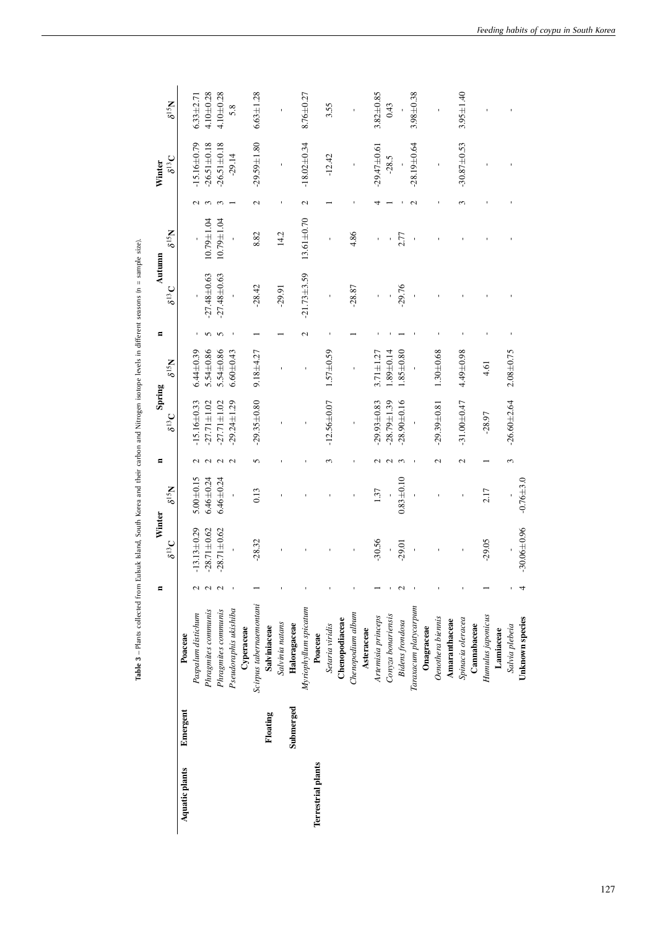|                    |           |                         | Ξ                 | Winter            |                 | Ξ                        | Spring            |                 | Ξ             | Autumn          |                  |               | Winter            |                 |
|--------------------|-----------|-------------------------|-------------------|-------------------|-----------------|--------------------------|-------------------|-----------------|---------------|-----------------|------------------|---------------|-------------------|-----------------|
|                    |           |                         |                   | $\delta^{13}C$    | $N_{SI}$        |                          | $\delta^{13}C$    | $N_{S1}g$       |               | $\delta^{13}C$  | $N_{S1}$ $S$     |               | $\delta^{13}C$    | $N_{\rm S1}$    |
| Aquatic plants     | Emergent  | Poaceae                 |                   |                   |                 |                          |                   |                 |               |                 |                  |               |                   |                 |
|                    |           | Paspalum distichum      | $\mathbf{\Omega}$ | $-13.13 + 0.29$   | $5.00 + 0.15$   |                          | $-15.16 \pm 0.33$ | $6.44 + 0.39$   |               |                 |                  |               | $-15.16 + 0.79$   | $6.33 + 2.71$   |
|                    |           | Phragmites communis     | N                 | $.28.71 \pm 0.62$ | $6.46 \pm 0.24$ |                          | $-27.71 \pm 1.02$ | 5.54±0.86       |               | $-27.48 + 0.63$ | $10.79 \pm 1.04$ |               | $-26.51 + 0.18$   | $4.10 + 0.28$   |
|                    |           | Phragmites communis     | $\mathbf 2$       | $.28.71 \pm 0.62$ | $6.46 \pm 0.24$ |                          | $-27.71 \pm 1.02$ | 5.54±0.86       | r             | $-27.48 + 0.63$ | $10.79 \pm 1.04$ |               | $-26.51 + 0.18$   | $4.10 + 0.28$   |
|                    |           | Pseudoraphis ukishiba   |                   |                   |                 |                          | $-29.24 \pm 1.29$ | $6.60 \pm 0.43$ |               |                 |                  |               | $-29.14$          | 5.8             |
|                    |           | Cyperaceae              |                   |                   |                 |                          |                   |                 |               |                 |                  |               |                   |                 |
|                    |           | Scirpus tabernaemontani |                   | $-28.32$          | 0.13            | 5                        | $-29.35 + 0.80$   | $9.18 + 4.27$   |               | $-28.42$        | 8.82             | 2             | $-29.59 \pm 1.80$ | $6.63 \pm 1.28$ |
|                    | Floating  | Salviniaceae            |                   |                   |                 |                          |                   |                 |               |                 |                  |               |                   |                 |
|                    |           | Salvinia natans         |                   |                   |                 |                          |                   |                 |               | $-29.91$        | 14.2             |               |                   |                 |
|                    | Submerged | Haloragaceae            |                   |                   |                 |                          |                   |                 |               |                 |                  |               |                   |                 |
|                    |           | Myriophyllum spicatum   |                   |                   |                 |                          |                   |                 | $\mathcal{L}$ | $-21.73 + 3.59$ | $13.61 \pm 0.70$ | $\mathcal{L}$ | $-18.02 \pm 0.34$ | $8.76 \pm 0.27$ |
| Terrestrial plants |           | Poaceae                 |                   |                   |                 |                          |                   |                 |               |                 |                  |               |                   |                 |
|                    |           | Setaria viridis         |                   |                   |                 |                          | $-12.56 + 0.07$   | $1.57 + 0.59$   |               |                 |                  |               | $-12.42$          | 3.55            |
|                    |           | Chenopodiaceae          |                   |                   |                 |                          |                   |                 |               |                 |                  |               |                   |                 |
|                    |           | Chenopodium album       |                   |                   |                 |                          |                   |                 |               | $-28.87$        | 4.86             |               |                   |                 |
|                    |           | Asteraceae              |                   |                   |                 |                          |                   |                 |               |                 |                  |               |                   |                 |
|                    |           | Artemisia princeps      |                   | $-30.56$          | 1.37            |                          | $-29.93 + 0.83$   | $3.71 \pm 1.27$ |               |                 |                  |               | $-29.47 + 0.61$   | $3.82 \pm 0.85$ |
|                    |           | Conyza bonariensis      |                   |                   |                 |                          | $-28.79 \pm 1.39$ | $.89 + 0.14$    |               |                 |                  |               | $-28.5$           | 0.43            |
|                    |           | <b>Bidens</b> frondosa  |                   | $-29.01$          | $0.83 + 0.10$   |                          | $-28.90 + 0.16$   | $0.85 + 0.80$   |               | $-29.76$        | 2.77             |               |                   |                 |
|                    |           | Taraxacum platycarpum   |                   |                   |                 |                          |                   |                 |               |                 |                  |               | $-28.19 + 0.64$   | $3.98 + 0.38$   |
|                    |           | Onagraceae              |                   |                   |                 |                          |                   |                 |               |                 |                  |               |                   |                 |
|                    |           | Oenothera biennis       |                   |                   |                 | $\overline{\mathcal{C}}$ | $-29.39 \pm 0.81$ | $1.30 + 0.68$   |               |                 |                  |               |                   |                 |
|                    |           | Amaranthaceae           |                   |                   |                 |                          |                   |                 |               |                 |                  |               |                   |                 |
|                    |           | Spinacia oleracea       |                   |                   |                 | $\mathbf{\Omega}$        | $-31.00 + 0.47$   | 4.49±0.98       |               |                 |                  |               | $-30.87 + 0.53$   | $3.95 \pm 1.40$ |
|                    |           | Cannabaceae             |                   |                   |                 |                          |                   |                 |               |                 |                  |               |                   |                 |
|                    |           | Humulus japonicus       |                   | $-29.05$          | 2.17            |                          | $-28.97$          | 4.61            |               |                 |                  |               |                   |                 |
|                    |           | Lamiaceae               |                   |                   |                 |                          |                   |                 |               |                 |                  |               |                   |                 |
|                    |           | Salvia plebeia          |                   |                   |                 | 3                        | $-26.60 + 2.64$   | $2.08 + 0.75$   |               |                 |                  |               |                   |                 |
|                    |           | Unknown species         |                   | $-30.06 \pm 0.96$ | $-0.76 + 3.0$   |                          |                   |                 |               |                 |                  |               |                   |                 |

Table 3 - Plants collected from Eulsuk Island, South Korea and their carbon and Nitrogen isotope levels in different seasons (n = sample size). **Table 3** – Plants collected from Eulsuk Island, South Korea and their carbon and Nitrogen isotope levels in dierent seasons (n = sample size).